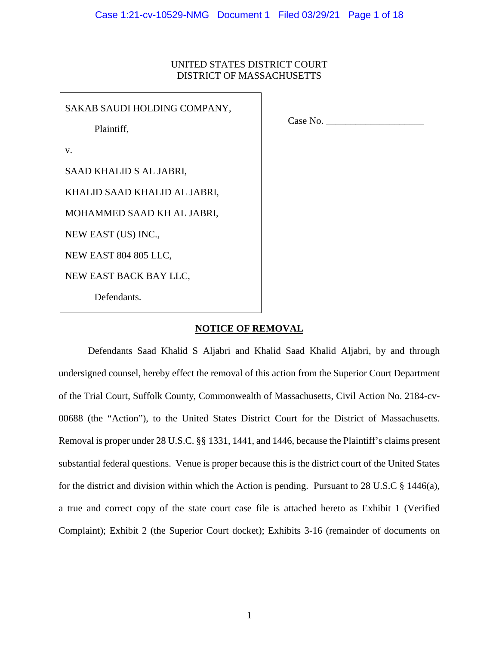# UNITED STATES DISTRICT COURT DISTRICT OF MASSACHUSETTS

SAKAB SAUDI HOLDING COMPANY,

Plaintiff,

Case No.

v.

SAAD KHALID S AL JABRI,

KHALID SAAD KHALID AL JABRI,

MOHAMMED SAAD KH AL JABRI,

NEW EAST (US) INC.,

NEW EAST 804 805 LLC,

NEW EAST BACK BAY LLC,

Defendants.

## **NOTICE OF REMOVAL**

Defendants Saad Khalid S Aljabri and Khalid Saad Khalid Aljabri, by and through undersigned counsel, hereby effect the removal of this action from the Superior Court Department of the Trial Court, Suffolk County, Commonwealth of Massachusetts, Civil Action No. 2184-cv-00688 (the "Action"), to the United States District Court for the District of Massachusetts. Removal is proper under 28 U.S.C. §§ 1331, 1441, and 1446, because the Plaintiff's claims present substantial federal questions. Venue is proper because this is the district court of the United States for the district and division within which the Action is pending. Pursuant to 28 U.S.C § 1446(a), a true and correct copy of the state court case file is attached hereto as Exhibit 1 (Verified Complaint); Exhibit 2 (the Superior Court docket); Exhibits 3-16 (remainder of documents on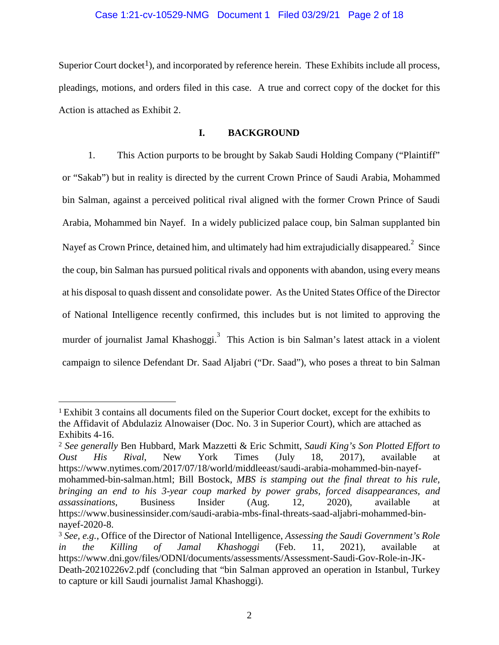### Case 1:21-cv-10529-NMG Document 1 Filed 03/29/21 Page 2 of 18

Superior Court docket<sup>1</sup>), and incorporated by reference herein. These Exhibits include all process, pleadings, motions, and orders filed in this case. A true and correct copy of the docket for this Action is attached as Exhibit 2.

### **I. BACKGROUND**

1. This Action purports to be brought by Sakab Saudi Holding Company ("Plaintiff" or "Sakab") but in reality is directed by the current Crown Prince of Saudi Arabia, Mohammed bin Salman, against a perceived political rival aligned with the former Crown Prince of Saudi Arabia, Mohammed bin Nayef. In a widely publicized palace coup, bin Salman supplanted bin Nayef as Crown Prince, detained him, and ultimately had him extrajudicially disappeared. $^{2}$  Since the coup, bin Salman has pursued political rivals and opponents with abandon, using every means at his disposal to quash dissent and consolidate power. As the United States Office of the Director of National Intelligence recently confirmed, this includes but is not limited to approving the murder of journalist Jamal Khashoggi.<sup>3</sup> This Action is bin Salman's latest attack in a violent campaign to silence Defendant Dr. Saad Aljabri ("Dr. Saad"), who poses a threat to bin Salman

<sup>1</sup> Exhibit 3 contains all documents filed on the Superior Court docket, except for the exhibits to the Affidavit of Abdulaziz Alnowaiser (Doc. No. 3 in Superior Court), which are attached as Exhibits 4-16.

<sup>2</sup> *See generally* Ben Hubbard, Mark Mazzetti & Eric Schmitt, *Saudi King's Son Plotted Effort to Oust His Rival*, New York Times (July 18, 2017), available at https://www.nytimes.com/2017/07/18/world/middleeast/saudi-arabia-mohammed-bin-nayefmohammed-bin-salman.html; Bill Bostock, *MBS is stamping out the final threat to his rule, bringing an end to his 3-year coup marked by power grabs, forced disappearances, and assassinations*, Business Insider (Aug. 12, 2020), available at https://www.businessinsider.com/saudi-arabia-mbs-final-threats-saad-aljabri-mohammed-binnayef-2020-8.

<sup>3</sup> *See, e.g.*, Office of the Director of National Intelligence, *Assessing the Saudi Government's Role in the Killing of Jamal Khashoggi* (Feb. 11, 2021), available at https://www.dni.gov/files/ODNI/documents/assessments/Assessment-Saudi-Gov-Role-in-JK-Death-20210226v2.pdf (concluding that "bin Salman approved an operation in Istanbul, Turkey to capture or kill Saudi journalist Jamal Khashoggi).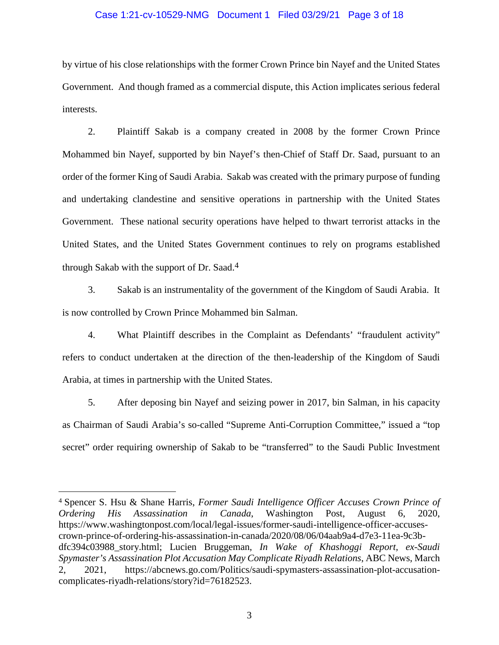### Case 1:21-cv-10529-NMG Document 1 Filed 03/29/21 Page 3 of 18

by virtue of his close relationships with the former Crown Prince bin Nayef and the United States Government. And though framed as a commercial dispute, this Action implicates serious federal interests.

2. Plaintiff Sakab is a company created in 2008 by the former Crown Prince Mohammed bin Nayef, supported by bin Nayef's then-Chief of Staff Dr. Saad, pursuant to an order of the former King of Saudi Arabia. Sakab was created with the primary purpose of funding and undertaking clandestine and sensitive operations in partnership with the United States Government. These national security operations have helped to thwart terrorist attacks in the United States, and the United States Government continues to rely on programs established through Sakab with the support of Dr. Saad.4

3. Sakab is an instrumentality of the government of the Kingdom of Saudi Arabia. It is now controlled by Crown Prince Mohammed bin Salman.

4. What Plaintiff describes in the Complaint as Defendants' "fraudulent activity" refers to conduct undertaken at the direction of the then-leadership of the Kingdom of Saudi Arabia, at times in partnership with the United States.

5. After deposing bin Nayef and seizing power in 2017, bin Salman, in his capacity as Chairman of Saudi Arabia's so-called "Supreme Anti-Corruption Committee," issued a "top secret" order requiring ownership of Sakab to be "transferred" to the Saudi Public Investment

<sup>4</sup> Spencer S. Hsu & Shane Harris, *Former Saudi Intelligence Officer Accuses Crown Prince of Ordering His Assassination in Canada*, Washington Post, August 6, 2020, https://www.washingtonpost.com/local/legal-issues/former-saudi-intelligence-officer-accusescrown-prince-of-ordering-his-assassination-in-canada/2020/08/06/04aab9a4-d7e3-11ea-9c3bdfc394c03988\_story.html; Lucien Bruggeman, *In Wake of Khashoggi Report, ex-Saudi Spymaster's Assassination Plot Accusation May Complicate Riyadh Relations*, ABC News, March 2, 2021, https://abcnews.go.com/Politics/saudi-spymasters-assassination-plot-accusationcomplicates-riyadh-relations/story?id=76182523.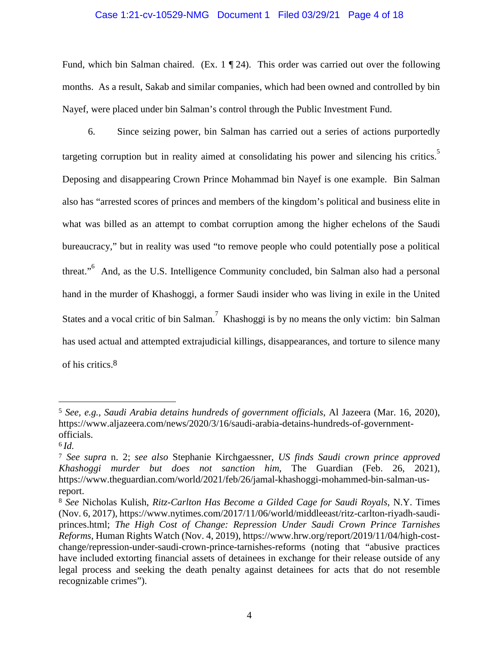### Case 1:21-cv-10529-NMG Document 1 Filed 03/29/21 Page 4 of 18

Fund, which bin Salman chaired. (Ex.  $1 \nvert 24$ ). This order was carried out over the following months. As a result, Sakab and similar companies, which had been owned and controlled by bin Nayef, were placed under bin Salman's control through the Public Investment Fund.

6. Since seizing power, bin Salman has carried out a series of actions purportedly targeting corruption but in reality aimed at consolidating his power and silencing his critics.<sup>5</sup> Deposing and disappearing Crown Prince Mohammad bin Nayef is one example. Bin Salman also has "arrested scores of princes and members of the kingdom's political and business elite in what was billed as an attempt to combat corruption among the higher echelons of the Saudi bureaucracy," but in reality was used "to remove people who could potentially pose a political threat."<sup>6</sup> And, as the U.S. Intelligence Community concluded, bin Salman also had a personal hand in the murder of Khashoggi, a former Saudi insider who was living in exile in the United States and a vocal critic of bin Salman.<sup>7</sup> Khashoggi is by no means the only victim: bin Salman has used actual and attempted extrajudicial killings, disappearances, and torture to silence many of his critics.8

<sup>5</sup> *See, e.g.*, *Saudi Arabia detains hundreds of government officials*, Al Jazeera (Mar. 16, 2020), https://www.aljazeera.com/news/2020/3/16/saudi-arabia-detains-hundreds-of-governmentofficials.

<sup>6</sup> *Id.*

<sup>7</sup> *See supra* n. 2; *see also* Stephanie Kirchgaessner, *US finds Saudi crown prince approved Khashoggi murder but does not sanction him*, The Guardian (Feb. 26, 2021), https://www.theguardian.com/world/2021/feb/26/jamal-khashoggi-mohammed-bin-salman-usreport.

<sup>8</sup> *See* Nicholas Kulish, *Ritz-Carlton Has Become a Gilded Cage for Saudi Royals*, N.Y. Times (Nov. 6, 2017), https://www.nytimes.com/2017/11/06/world/middleeast/ritz-carlton-riyadh-saudiprinces.html; *The High Cost of Change: Repression Under Saudi Crown Prince Tarnishes Reforms*, Human Rights Watch (Nov. 4, 2019), https://www.hrw.org/report/2019/11/04/high-costchange/repression-under-saudi-crown-prince-tarnishes-reforms (noting that "abusive practices have included extorting financial assets of detainees in exchange for their release outside of any legal process and seeking the death penalty against detainees for acts that do not resemble recognizable crimes").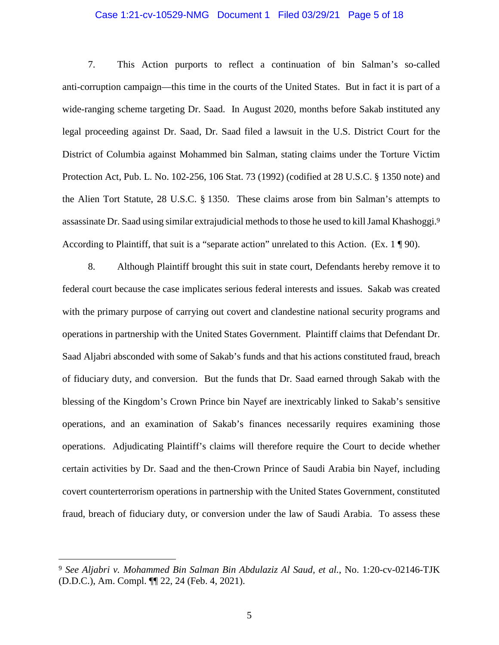### Case 1:21-cv-10529-NMG Document 1 Filed 03/29/21 Page 5 of 18

7. This Action purports to reflect a continuation of bin Salman's so-called anti-corruption campaign—this time in the courts of the United States. But in fact it is part of a wide-ranging scheme targeting Dr. Saad. In August 2020, months before Sakab instituted any legal proceeding against Dr. Saad, Dr. Saad filed a lawsuit in the U.S. District Court for the District of Columbia against Mohammed bin Salman, stating claims under the Torture Victim Protection Act, Pub. L. No. 102-256, 106 Stat. 73 (1992) (codified at 28 U.S.C. § 1350 note) and the Alien Tort Statute, 28 U.S.C. § 1350. These claims arose from bin Salman's attempts to assassinate Dr. Saad using similar extrajudicial methods to those he used to kill Jamal Khashoggi.<sup>9</sup> According to Plaintiff, that suit is a "separate action" unrelated to this Action. (Ex. 1 ¶ 90).

8. Although Plaintiff brought this suit in state court, Defendants hereby remove it to federal court because the case implicates serious federal interests and issues. Sakab was created with the primary purpose of carrying out covert and clandestine national security programs and operations in partnership with the United States Government. Plaintiff claims that Defendant Dr. Saad Aljabri absconded with some of Sakab's funds and that his actions constituted fraud, breach of fiduciary duty, and conversion. But the funds that Dr. Saad earned through Sakab with the blessing of the Kingdom's Crown Prince bin Nayef are inextricably linked to Sakab's sensitive operations, and an examination of Sakab's finances necessarily requires examining those operations. Adjudicating Plaintiff's claims will therefore require the Court to decide whether certain activities by Dr. Saad and the then-Crown Prince of Saudi Arabia bin Nayef, including covert counterterrorism operations in partnership with the United States Government, constituted fraud, breach of fiduciary duty, or conversion under the law of Saudi Arabia. To assess these

<sup>9</sup> *See Aljabri v. Mohammed Bin Salman Bin Abdulaziz Al Saud, et al.*, No. 1:20-cv-02146-TJK (D.D.C.), Am. Compl. ¶¶ 22, 24 (Feb. 4, 2021).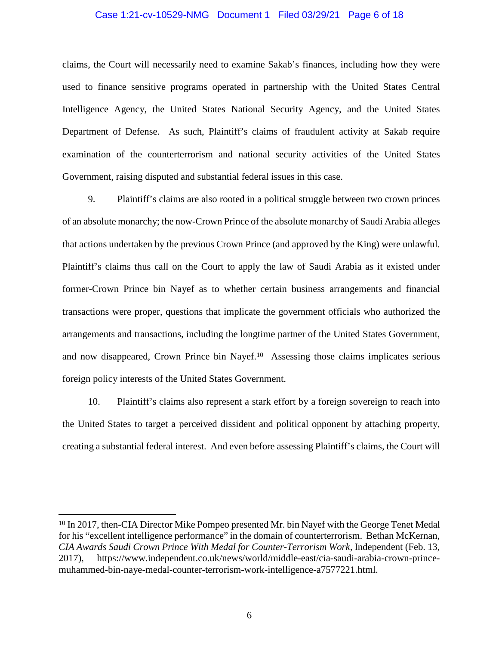### Case 1:21-cv-10529-NMG Document 1 Filed 03/29/21 Page 6 of 18

claims, the Court will necessarily need to examine Sakab's finances, including how they were used to finance sensitive programs operated in partnership with the United States Central Intelligence Agency, the United States National Security Agency, and the United States Department of Defense. As such, Plaintiff's claims of fraudulent activity at Sakab require examination of the counterterrorism and national security activities of the United States Government, raising disputed and substantial federal issues in this case.

9. Plaintiff's claims are also rooted in a political struggle between two crown princes of an absolute monarchy; the now-Crown Prince of the absolute monarchy of Saudi Arabia alleges that actions undertaken by the previous Crown Prince (and approved by the King) were unlawful. Plaintiff's claims thus call on the Court to apply the law of Saudi Arabia as it existed under former-Crown Prince bin Nayef as to whether certain business arrangements and financial transactions were proper, questions that implicate the government officials who authorized the arrangements and transactions, including the longtime partner of the United States Government, and now disappeared, Crown Prince bin Nayef.10 Assessing those claims implicates serious foreign policy interests of the United States Government.

10. Plaintiff's claims also represent a stark effort by a foreign sovereign to reach into the United States to target a perceived dissident and political opponent by attaching property, creating a substantial federal interest. And even before assessing Plaintiff's claims, the Court will

<sup>10</sup> In 2017, then-CIA Director Mike Pompeo presented Mr. bin Nayef with the George Tenet Medal for his "excellent intelligence performance" in the domain of counterterrorism. Bethan McKernan, *CIA Awards Saudi Crown Prince With Medal for Counter-Terrorism Work,* Independent (Feb. 13, 2017), https://www.independent.co.uk/news/world/middle-east/cia-saudi-arabia-crown-princemuhammed-bin-naye-medal-counter-terrorism-work-intelligence-a7577221.html.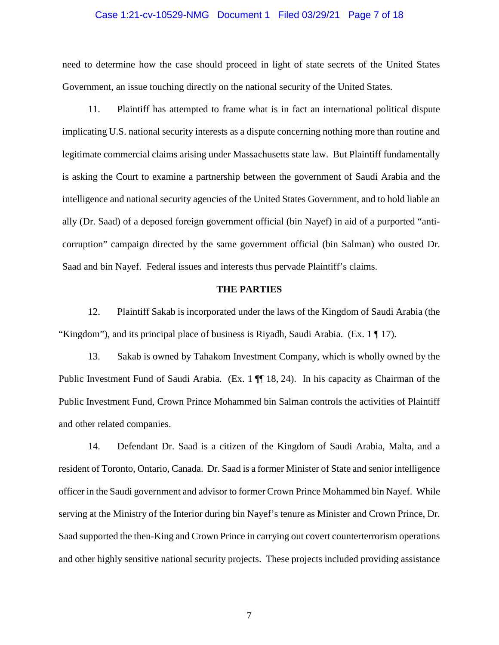### Case 1:21-cv-10529-NMG Document 1 Filed 03/29/21 Page 7 of 18

need to determine how the case should proceed in light of state secrets of the United States Government, an issue touching directly on the national security of the United States.

11. Plaintiff has attempted to frame what is in fact an international political dispute implicating U.S. national security interests as a dispute concerning nothing more than routine and legitimate commercial claims arising under Massachusetts state law. But Plaintiff fundamentally is asking the Court to examine a partnership between the government of Saudi Arabia and the intelligence and national security agencies of the United States Government, and to hold liable an ally (Dr. Saad) of a deposed foreign government official (bin Nayef) in aid of a purported "anticorruption" campaign directed by the same government official (bin Salman) who ousted Dr. Saad and bin Nayef. Federal issues and interests thus pervade Plaintiff's claims.

### **THE PARTIES**

12. Plaintiff Sakab is incorporated under the laws of the Kingdom of Saudi Arabia (the "Kingdom"), and its principal place of business is Riyadh, Saudi Arabia. (Ex. 1 ¶ 17).

13. Sakab is owned by Tahakom Investment Company, which is wholly owned by the Public Investment Fund of Saudi Arabia. (Ex. 1  $\P$  18, 24). In his capacity as Chairman of the Public Investment Fund, Crown Prince Mohammed bin Salman controls the activities of Plaintiff and other related companies.

14. Defendant Dr. Saad is a citizen of the Kingdom of Saudi Arabia, Malta, and a resident of Toronto, Ontario, Canada. Dr. Saad is a former Minister of State and senior intelligence officer in the Saudi government and advisor to former Crown Prince Mohammed bin Nayef. While serving at the Ministry of the Interior during bin Nayef's tenure as Minister and Crown Prince, Dr. Saad supported the then-King and Crown Prince in carrying out covert counterterrorism operations and other highly sensitive national security projects. These projects included providing assistance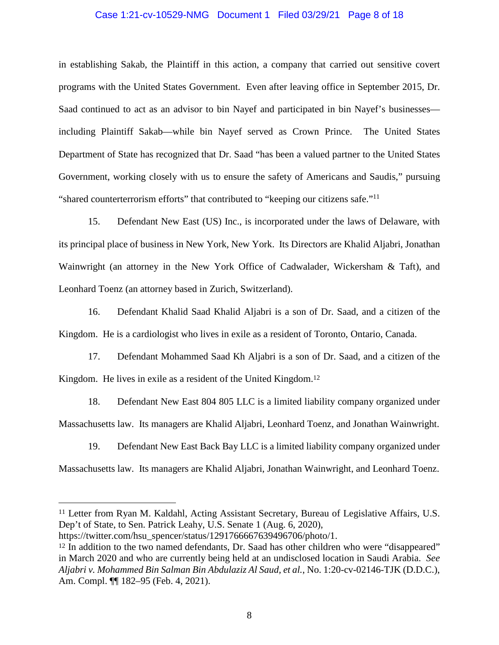### Case 1:21-cv-10529-NMG Document 1 Filed 03/29/21 Page 8 of 18

in establishing Sakab, the Plaintiff in this action, a company that carried out sensitive covert programs with the United States Government. Even after leaving office in September 2015, Dr. Saad continued to act as an advisor to bin Nayef and participated in bin Nayef's businesses including Plaintiff Sakab—while bin Nayef served as Crown Prince. The United States Department of State has recognized that Dr. Saad "has been a valued partner to the United States Government, working closely with us to ensure the safety of Americans and Saudis," pursuing "shared counterterrorism efforts" that contributed to "keeping our citizens safe."<sup>11</sup>

15. Defendant New East (US) Inc., is incorporated under the laws of Delaware, with its principal place of business in New York, New York. Its Directors are Khalid Aljabri, Jonathan Wainwright (an attorney in the New York Office of Cadwalader, Wickersham & Taft), and Leonhard Toenz (an attorney based in Zurich, Switzerland).

16. Defendant Khalid Saad Khalid Aljabri is a son of Dr. Saad, and a citizen of the Kingdom. He is a cardiologist who lives in exile as a resident of Toronto, Ontario, Canada.

17. Defendant Mohammed Saad Kh Aljabri is a son of Dr. Saad, and a citizen of the Kingdom. He lives in exile as a resident of the United Kingdom.<sup>12</sup>

18. Defendant New East 804 805 LLC is a limited liability company organized under Massachusetts law. Its managers are Khalid Aljabri, Leonhard Toenz, and Jonathan Wainwright.

19. Defendant New East Back Bay LLC is a limited liability company organized under Massachusetts law. Its managers are Khalid Aljabri, Jonathan Wainwright, and Leonhard Toenz.

<sup>11</sup> Letter from Ryan M. Kaldahl, Acting Assistant Secretary, Bureau of Legislative Affairs, U.S. Dep't of State, to Sen. Patrick Leahy, U.S. Senate 1 (Aug. 6, 2020),

https://twitter.com/hsu\_spencer/status/1291766667639496706/photo/1.

<sup>&</sup>lt;sup>12</sup> In addition to the two named defendants, Dr. Saad has other children who were "disappeared" in March 2020 and who are currently being held at an undisclosed location in Saudi Arabia. *See Aljabri v. Mohammed Bin Salman Bin Abdulaziz Al Saud, et al.*, No. 1:20-cv-02146-TJK (D.D.C.), Am. Compl. ¶¶ 182–95 (Feb. 4, 2021).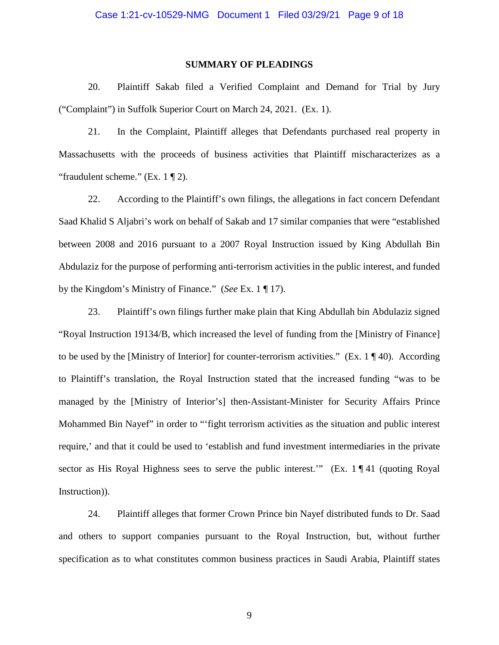### **SUMMARY OF PLEADINGS**

20. Plaintiff Sakab filed a Verified Complaint and Demand for Trial by Jury ("Complaint") in Suffolk Superior Court on March 24, 2021. (Ex. 1).

21. In the Complaint, Plaintiff alleges that Defendants purchased real property in Massachusetts with the proceeds of business activities that Plaintiff mischaracterizes as a "fraudulent scheme." (Ex. 1 ¶ 2).

22. According to the Plaintiff's own filings, the allegations in fact concern Defendant Saad Khalid S Aljabri's work on behalf of Sakab and 17 similar companies that were "established between 2008 and 2016 pursuant to a 2007 Royal Instruction issued by King Abdullah Bin Abdulaziz for the purpose of performing anti-terrorism activities in the public interest, and funded by the Kingdom's Ministry of Finance." (*See* Ex. 1 ¶ 17).

23. Plaintiff's own filings further make plain that King Abdullah bin Abdulaziz signed "Royal Instruction 19134/B, which increased the level of funding from the [Ministry of Finance] to be used by the [Ministry of Interior] for counter-terrorism activities." (Ex.  $1 \nvert 40$ ). According to Plaintiff's translation, the Royal Instruction stated that the increased funding "was to be managed by the [Ministry of Interior's] then-Assistant-Minister for Security Affairs Prince Mohammed Bin Nayef" in order to "'fight terrorism activities as the situation and public interest require,' and that it could be used to 'establish and fund investment intermediaries in the private sector as His Royal Highness sees to serve the public interest." (Ex. 1 ¶ 41 (quoting Royal Instruction)).

24. Plaintiff alleges that former Crown Prince bin Nayef distributed funds to Dr. Saad and others to support companies pursuant to the Royal Instruction, but, without further specification as to what constitutes common business practices in Saudi Arabia, Plaintiff states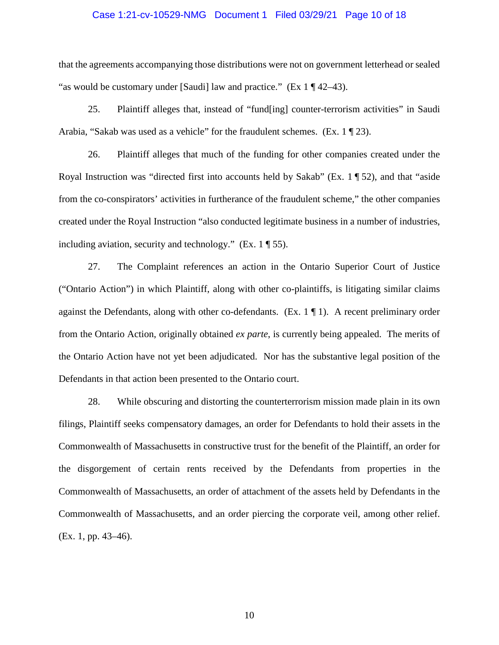### Case 1:21-cv-10529-NMG Document 1 Filed 03/29/21 Page 10 of 18

that the agreements accompanying those distributions were not on government letterhead or sealed "as would be customary under [Saudi] law and practice." (Ex  $1 \sqrt{42-43}$ ).

25. Plaintiff alleges that, instead of "fund[ing] counter-terrorism activities" in Saudi Arabia, "Sakab was used as a vehicle" for the fraudulent schemes. (Ex.  $1 \nvert 23$ ).

26. Plaintiff alleges that much of the funding for other companies created under the Royal Instruction was "directed first into accounts held by Sakab" (Ex. 1 ¶ 52), and that "aside from the co-conspirators' activities in furtherance of the fraudulent scheme," the other companies created under the Royal Instruction "also conducted legitimate business in a number of industries, including aviation, security and technology." (Ex. 1 ¶ 55).

27. The Complaint references an action in the Ontario Superior Court of Justice ("Ontario Action") in which Plaintiff, along with other co-plaintiffs, is litigating similar claims against the Defendants, along with other co-defendants. (Ex.  $1 \nparallel 1$ ). A recent preliminary order from the Ontario Action, originally obtained *ex parte*, is currently being appealed. The merits of the Ontario Action have not yet been adjudicated. Nor has the substantive legal position of the Defendants in that action been presented to the Ontario court.

28. While obscuring and distorting the counterterrorism mission made plain in its own filings, Plaintiff seeks compensatory damages, an order for Defendants to hold their assets in the Commonwealth of Massachusetts in constructive trust for the benefit of the Plaintiff, an order for the disgorgement of certain rents received by the Defendants from properties in the Commonwealth of Massachusetts, an order of attachment of the assets held by Defendants in the Commonwealth of Massachusetts, and an order piercing the corporate veil, among other relief. (Ex. 1, pp. 43–46).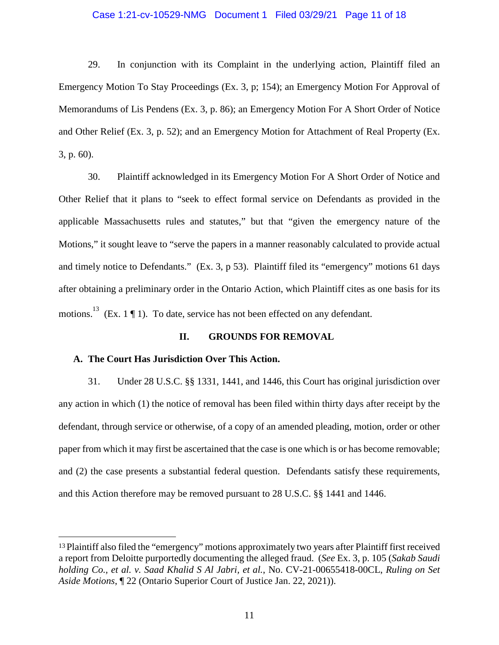### Case 1:21-cv-10529-NMG Document 1 Filed 03/29/21 Page 11 of 18

29. In conjunction with its Complaint in the underlying action, Plaintiff filed an Emergency Motion To Stay Proceedings (Ex. 3, p; 154); an Emergency Motion For Approval of Memorandums of Lis Pendens (Ex. 3, p. 86); an Emergency Motion For A Short Order of Notice and Other Relief (Ex. 3, p. 52); and an Emergency Motion for Attachment of Real Property (Ex. 3, p. 60).

30. Plaintiff acknowledged in its Emergency Motion For A Short Order of Notice and Other Relief that it plans to "seek to effect formal service on Defendants as provided in the applicable Massachusetts rules and statutes," but that "given the emergency nature of the Motions," it sought leave to "serve the papers in a manner reasonably calculated to provide actual and timely notice to Defendants." (Ex. 3, p 53). Plaintiff filed its "emergency" motions 61 days after obtaining a preliminary order in the Ontario Action, which Plaintiff cites as one basis for its motions.<sup>13</sup> (Ex. 1  $\P$  1). To date, service has not been effected on any defendant.

### **II. GROUNDS FOR REMOVAL**

### **A. The Court Has Jurisdiction Over This Action.**

31. Under 28 U.S.C. §§ 1331, 1441, and 1446, this Court has original jurisdiction over any action in which (1) the notice of removal has been filed within thirty days after receipt by the defendant, through service or otherwise, of a copy of an amended pleading, motion, order or other paper from which it may first be ascertained that the case is one which is or has become removable; and (2) the case presents a substantial federal question. Defendants satisfy these requirements, and this Action therefore may be removed pursuant to 28 U.S.C. §§ 1441 and 1446.

<sup>13</sup>Plaintiff also filed the "emergency" motions approximately two years after Plaintiff first received a report from Deloitte purportedly documenting the alleged fraud. (*See* Ex. 3, p. 105 (*Sakab Saudi holding Co., et al. v. Saad Khalid S Al Jabri, et al.*, No. CV-21-00655418-00CL, *Ruling on Set Aside Motions*, ¶ 22 (Ontario Superior Court of Justice Jan. 22, 2021)).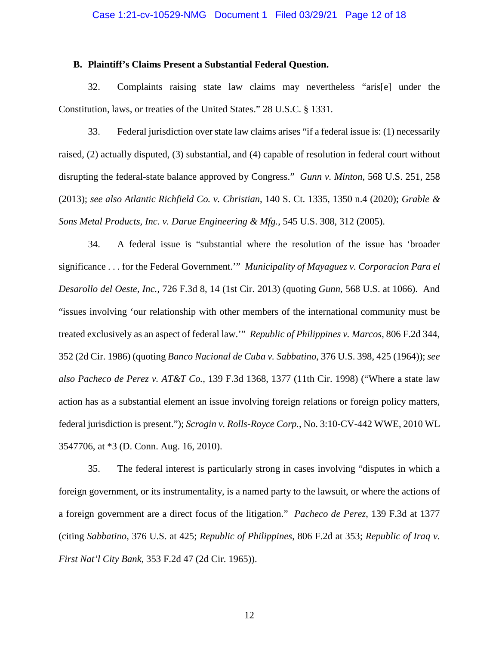### **B. Plaintiff's Claims Present a Substantial Federal Question.**

32. Complaints raising state law claims may nevertheless "aris[e] under the Constitution, laws, or treaties of the United States." 28 U.S.C. § 1331.

33. Federal jurisdiction over state law claims arises "if a federal issue is: (1) necessarily raised, (2) actually disputed, (3) substantial, and (4) capable of resolution in federal court without disrupting the federal-state balance approved by Congress." *Gunn v. Minton*, 568 U.S. 251, 258 (2013); *see also Atlantic Richfield Co. v. Christian*, 140 S. Ct. 1335, 1350 n.4 (2020); *Grable & Sons Metal Products, Inc. v. Darue Engineering & Mfg.*, 545 U.S. 308, 312 (2005).

34. A federal issue is "substantial where the resolution of the issue has 'broader significance . . . for the Federal Government.'" *Municipality of Mayaguez v. Corporacion Para el Desarollo del Oeste, Inc.*, 726 F.3d 8, 14 (1st Cir. 2013) (quoting *Gunn*, 568 U.S. at 1066). And "issues involving 'our relationship with other members of the international community must be treated exclusively as an aspect of federal law.'" *Republic of Philippines v. Marcos*, 806 F.2d 344, 352 (2d Cir. 1986) (quoting *Banco Nacional de Cuba v. Sabbatino*, 376 U.S. 398, 425 (1964)); *see also Pacheco de Perez v. AT&T Co.*, 139 F.3d 1368, 1377 (11th Cir. 1998) ("Where a state law action has as a substantial element an issue involving foreign relations or foreign policy matters, federal jurisdiction is present."); *Scrogin v. Rolls-Royce Corp.*, No. 3:10-CV-442 WWE, 2010 WL 3547706, at \*3 (D. Conn. Aug. 16, 2010).

35. The federal interest is particularly strong in cases involving "disputes in which a foreign government, or its instrumentality, is a named party to the lawsuit, or where the actions of a foreign government are a direct focus of the litigation." *Pacheco de Perez*, 139 F.3d at 1377 (citing *Sabbatino*, 376 U.S. at 425; *Republic of Philippines*, 806 F.2d at 353; *Republic of Iraq v. First Nat'l City Bank*, 353 F.2d 47 (2d Cir. 1965)).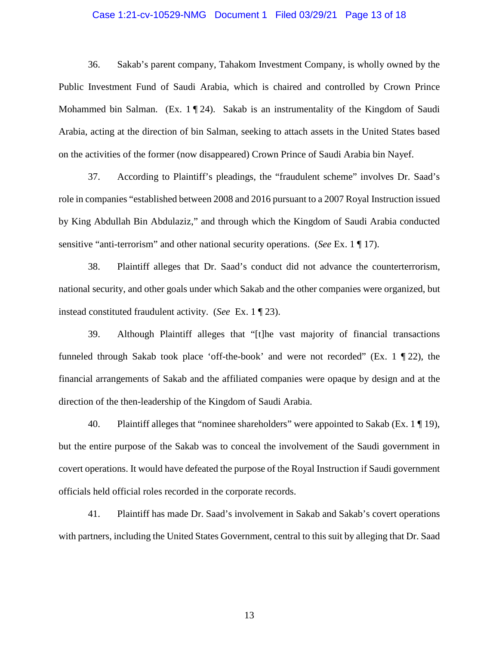### Case 1:21-cv-10529-NMG Document 1 Filed 03/29/21 Page 13 of 18

36. Sakab's parent company, Tahakom Investment Company, is wholly owned by the Public Investment Fund of Saudi Arabia, which is chaired and controlled by Crown Prince Mohammed bin Salman. (Ex. 1 ¶ 24). Sakab is an instrumentality of the Kingdom of Saudi Arabia, acting at the direction of bin Salman, seeking to attach assets in the United States based on the activities of the former (now disappeared) Crown Prince of Saudi Arabia bin Nayef.

37. According to Plaintiff's pleadings, the "fraudulent scheme" involves Dr. Saad's role in companies "established between 2008 and 2016 pursuant to a 2007 Royal Instruction issued by King Abdullah Bin Abdulaziz," and through which the Kingdom of Saudi Arabia conducted sensitive "anti-terrorism" and other national security operations. (*See* Ex. 1 ¶ 17).

38. Plaintiff alleges that Dr. Saad's conduct did not advance the counterterrorism, national security, and other goals under which Sakab and the other companies were organized, but instead constituted fraudulent activity. (*See* Ex. 1 ¶ 23).

39. Although Plaintiff alleges that "[t]he vast majority of financial transactions funneled through Sakab took place 'off-the-book' and were not recorded" (Ex. 1 ¶ 22), the financial arrangements of Sakab and the affiliated companies were opaque by design and at the direction of the then-leadership of the Kingdom of Saudi Arabia.

40. Plaintiff alleges that "nominee shareholders" were appointed to Sakab (Ex. 1  $\P$  19), but the entire purpose of the Sakab was to conceal the involvement of the Saudi government in covert operations. It would have defeated the purpose of the Royal Instruction if Saudi government officials held official roles recorded in the corporate records.

41. Plaintiff has made Dr. Saad's involvement in Sakab and Sakab's covert operations with partners, including the United States Government, central to this suit by alleging that Dr. Saad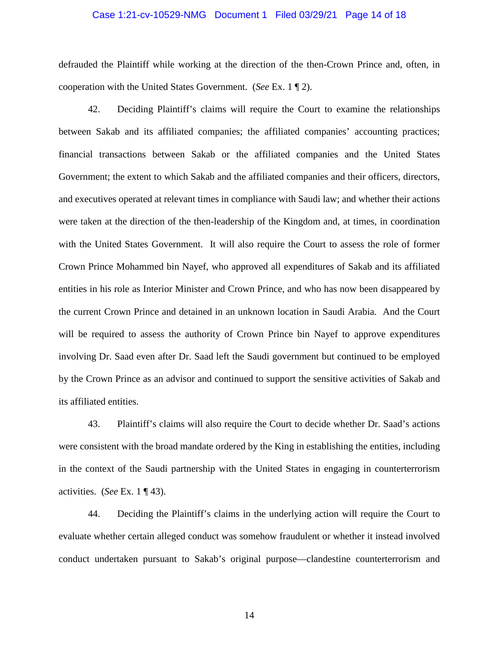### Case 1:21-cv-10529-NMG Document 1 Filed 03/29/21 Page 14 of 18

defrauded the Plaintiff while working at the direction of the then-Crown Prince and, often, in cooperation with the United States Government. (*See* Ex. 1 ¶ 2).

42. Deciding Plaintiff's claims will require the Court to examine the relationships between Sakab and its affiliated companies; the affiliated companies' accounting practices; financial transactions between Sakab or the affiliated companies and the United States Government; the extent to which Sakab and the affiliated companies and their officers, directors, and executives operated at relevant times in compliance with Saudi law; and whether their actions were taken at the direction of the then-leadership of the Kingdom and, at times, in coordination with the United States Government. It will also require the Court to assess the role of former Crown Prince Mohammed bin Nayef, who approved all expenditures of Sakab and its affiliated entities in his role as Interior Minister and Crown Prince, and who has now been disappeared by the current Crown Prince and detained in an unknown location in Saudi Arabia. And the Court will be required to assess the authority of Crown Prince bin Nayef to approve expenditures involving Dr. Saad even after Dr. Saad left the Saudi government but continued to be employed by the Crown Prince as an advisor and continued to support the sensitive activities of Sakab and its affiliated entities.

43. Plaintiff's claims will also require the Court to decide whether Dr. Saad's actions were consistent with the broad mandate ordered by the King in establishing the entities, including in the context of the Saudi partnership with the United States in engaging in counterterrorism activities. (*See* Ex. 1 ¶ 43).

44. Deciding the Plaintiff's claims in the underlying action will require the Court to evaluate whether certain alleged conduct was somehow fraudulent or whether it instead involved conduct undertaken pursuant to Sakab's original purpose—clandestine counterterrorism and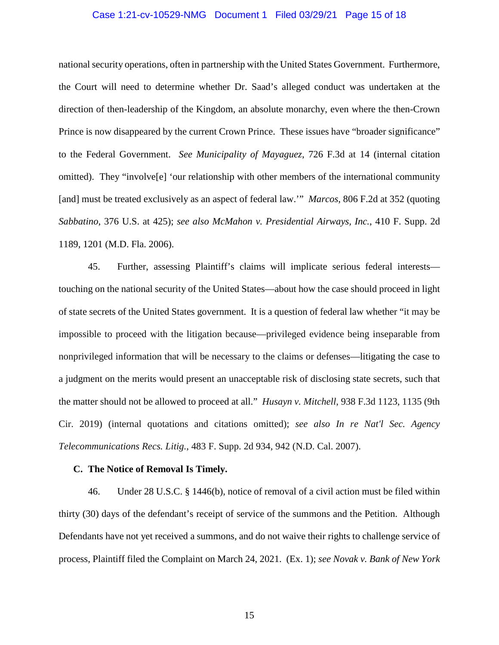### Case 1:21-cv-10529-NMG Document 1 Filed 03/29/21 Page 15 of 18

national security operations, often in partnership with the United States Government. Furthermore, the Court will need to determine whether Dr. Saad's alleged conduct was undertaken at the direction of then-leadership of the Kingdom, an absolute monarchy, even where the then-Crown Prince is now disappeared by the current Crown Prince. These issues have "broader significance" to the Federal Government. *See Municipality of Mayaguez*, 726 F.3d at 14 (internal citation omitted). They "involve[e] 'our relationship with other members of the international community [and] must be treated exclusively as an aspect of federal law.'" *Marcos*, 806 F.2d at 352 (quoting *Sabbatino*, 376 U.S. at 425); *see also McMahon v. Presidential Airways, Inc.*, 410 F. Supp. 2d 1189, 1201 (M.D. Fla. 2006).

45. Further, assessing Plaintiff's claims will implicate serious federal interests touching on the national security of the United States—about how the case should proceed in light of state secrets of the United States government. It is a question of federal law whether "it may be impossible to proceed with the litigation because—privileged evidence being inseparable from nonprivileged information that will be necessary to the claims or defenses—litigating the case to a judgment on the merits would present an unacceptable risk of disclosing state secrets, such that the matter should not be allowed to proceed at all." *Husayn v. Mitchell*, 938 F.3d 1123, 1135 (9th Cir. 2019) (internal quotations and citations omitted); *see also In re Nat'l Sec. Agency Telecommunications Recs. Litig.*, 483 F. Supp. 2d 934, 942 (N.D. Cal. 2007).

### **C. The Notice of Removal Is Timely.**

46. Under 28 U.S.C. § 1446(b), notice of removal of a civil action must be filed within thirty (30) days of the defendant's receipt of service of the summons and the Petition. Although Defendants have not yet received a summons, and do not waive their rights to challenge service of process, Plaintiff filed the Complaint on March 24, 2021. (Ex. 1); *see Novak v. Bank of New York*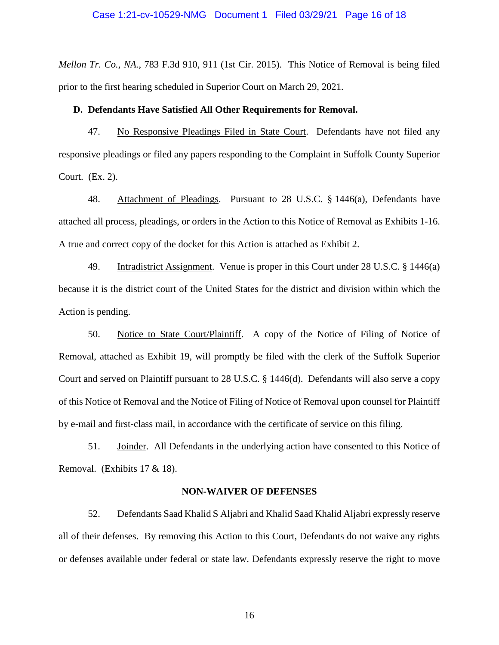### Case 1:21-cv-10529-NMG Document 1 Filed 03/29/21 Page 16 of 18

*Mellon Tr. Co., NA.*, 783 F.3d 910, 911 (1st Cir. 2015). This Notice of Removal is being filed prior to the first hearing scheduled in Superior Court on March 29, 2021.

#### **D. Defendants Have Satisfied All Other Requirements for Removal.**

47. No Responsive Pleadings Filed in State Court. Defendants have not filed any responsive pleadings or filed any papers responding to the Complaint in Suffolk County Superior Court. (Ex. 2).

48. Attachment of Pleadings. Pursuant to 28 U.S.C. § 1446(a), Defendants have attached all process, pleadings, or orders in the Action to this Notice of Removal as Exhibits 1-16. A true and correct copy of the docket for this Action is attached as Exhibit 2.

49. Intradistrict Assignment. Venue is proper in this Court under 28 U.S.C. § 1446(a) because it is the district court of the United States for the district and division within which the Action is pending.

50. Notice to State Court/Plaintiff. A copy of the Notice of Filing of Notice of Removal, attached as Exhibit 19, will promptly be filed with the clerk of the Suffolk Superior Court and served on Plaintiff pursuant to 28 U.S.C. § 1446(d). Defendants will also serve a copy of this Notice of Removal and the Notice of Filing of Notice of Removal upon counsel for Plaintiff by e-mail and first-class mail, in accordance with the certificate of service on this filing.

51. Joinder. All Defendants in the underlying action have consented to this Notice of Removal. (Exhibits 17 & 18).

### **NON-WAIVER OF DEFENSES**

52. Defendants Saad Khalid S Aljabri and Khalid Saad Khalid Aljabri expressly reserve all of their defenses. By removing this Action to this Court, Defendants do not waive any rights or defenses available under federal or state law. Defendants expressly reserve the right to move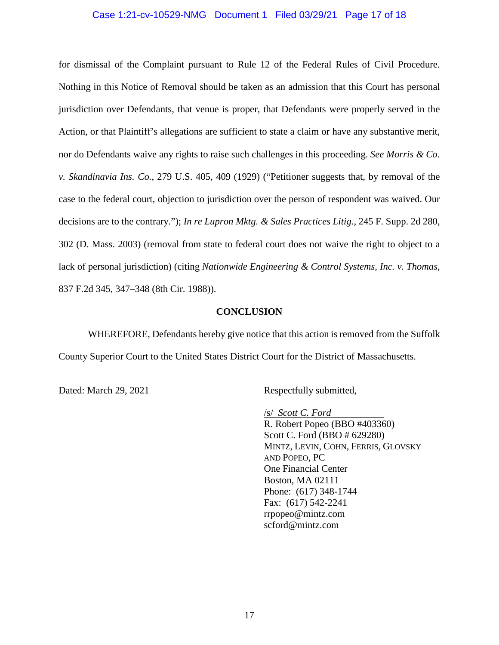### Case 1:21-cv-10529-NMG Document 1 Filed 03/29/21 Page 17 of 18

for dismissal of the Complaint pursuant to Rule 12 of the Federal Rules of Civil Procedure. Nothing in this Notice of Removal should be taken as an admission that this Court has personal jurisdiction over Defendants, that venue is proper, that Defendants were properly served in the Action, or that Plaintiff's allegations are sufficient to state a claim or have any substantive merit, nor do Defendants waive any rights to raise such challenges in this proceeding. *See Morris & Co. v. Skandinavia Ins. Co.*, 279 U.S. 405, 409 (1929) ("Petitioner suggests that, by removal of the case to the federal court, objection to jurisdiction over the person of respondent was waived. Our decisions are to the contrary."); *In re Lupron Mktg. & Sales Practices Litig.*, 245 F. Supp. 2d 280, 302 (D. Mass. 2003) (removal from state to federal court does not waive the right to object to a lack of personal jurisdiction) (citing *Nationwide Engineering & Control Systems, Inc. v. Thomas*, 837 F.2d 345, 347–348 (8th Cir. 1988)).

### **CONCLUSION**

WHEREFORE, Defendants hereby give notice that this action is removed from the Suffolk County Superior Court to the United States District Court for the District of Massachusetts.

Dated: March 29, 2021 Respectfully submitted,

/s/ *Scott C. Ford*  R. Robert Popeo (BBO #403360) Scott C. Ford (BBO # 629280) MINTZ, LEVIN, COHN, FERRIS, GLOVSKY AND POPEO, PC One Financial Center Boston, MA 02111 Phone: (617) 348-1744 Fax: (617) 542-2241 rrpopeo@mintz.com scford@mintz.com